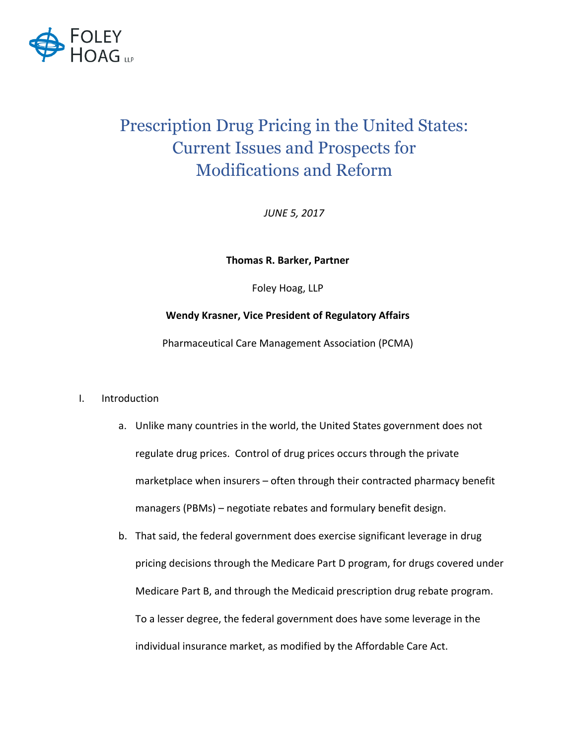

# Prescription Drug Pricing in the United States: Current Issues and Prospects for Modifications and Reform

*JUNE 5, 2017*

**Thomas R. Barker, Partner**

Foley Hoag, LLP

# **Wendy Krasner, Vice President of Regulatory Affairs**

Pharmaceutical Care Management Association (PCMA)

- I. Introduction
	- a. Unlike many countries in the world, the United States government does not regulate drug prices. Control of drug prices occurs through the private marketplace when insurers - often through their contracted pharmacy benefit managers (PBMs) – negotiate rebates and formulary benefit design.
	- b. That said, the federal government does exercise significant leverage in drug pricing decisions through the Medicare Part D program, for drugs covered under Medicare Part B, and through the Medicaid prescription drug rebate program. To a lesser degree, the federal government does have some leverage in the individual insurance market, as modified by the Affordable Care Act.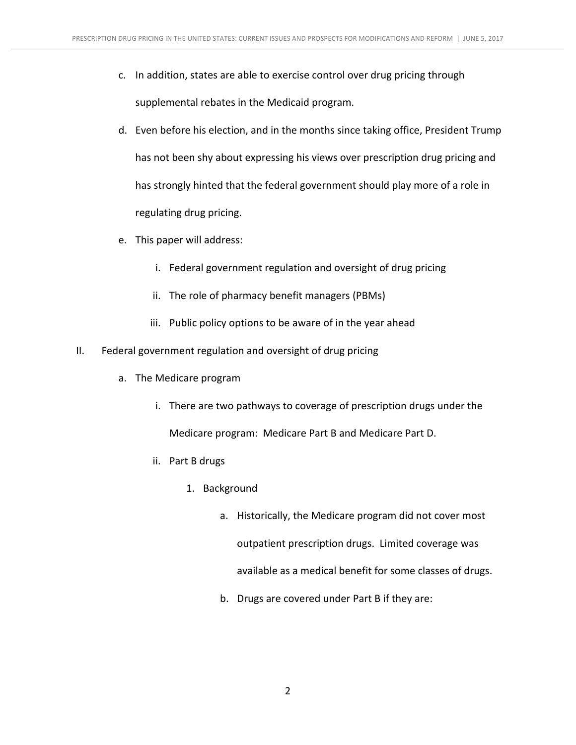- c. In addition, states are able to exercise control over drug pricing through supplemental rebates in the Medicaid program.
- d. Even before his election, and in the months since taking office, President Trump has not been shy about expressing his views over prescription drug pricing and has strongly hinted that the federal government should play more of a role in regulating drug pricing.
- e. This paper will address:
	- i. Federal government regulation and oversight of drug pricing
	- ii. The role of pharmacy benefit managers (PBMs)
	- iii. Public policy options to be aware of in the year ahead
- II. Federal government regulation and oversight of drug pricing
	- a. The Medicare program
		- i. There are two pathways to coverage of prescription drugs under the Medicare program: Medicare Part B and Medicare Part D.
		- ii. Part B drugs
			- 1. Background
				- a. Historically, the Medicare program did not cover most outpatient prescription drugs. Limited coverage was available as a medical benefit for some classes of drugs.
				- b. Drugs are covered under Part B if they are: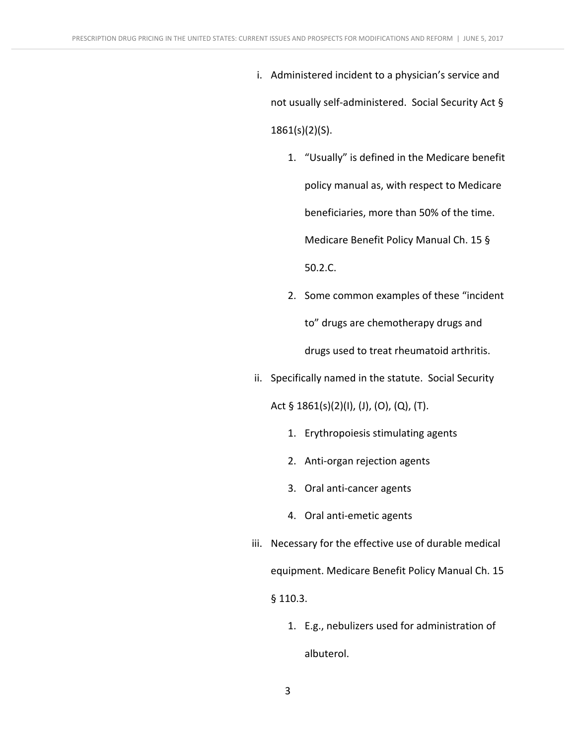- i. Administered incident to a physician's service and not usually self-administered. Social Security Act § 1861(s)(2)(S).
	- 1. "Usually" is defined in the Medicare benefit policy manual as, with respect to Medicare beneficiaries, more than 50% of the time. Medicare Benefit Policy Manual Ch. 15 § 50.2.C.
	- 2. Some common examples of these "incident" to" drugs are chemotherapy drugs and drugs used to treat rheumatoid arthritis.
- ii. Specifically named in the statute. Social Security

Act  $\S$  1861(s)(2)(I), (J), (O), (Q), (T).

- 1. Erythropoiesis stimulating agents
- 2. Anti-organ rejection agents
- 3. Oral anti-cancer agents
- 4. Oral anti-emetic agents
- iii. Necessary for the effective use of durable medical equipment. Medicare Benefit Policy Manual Ch. 15 § 110.3.
	- 1. E.g., nebulizers used for administration of albuterol.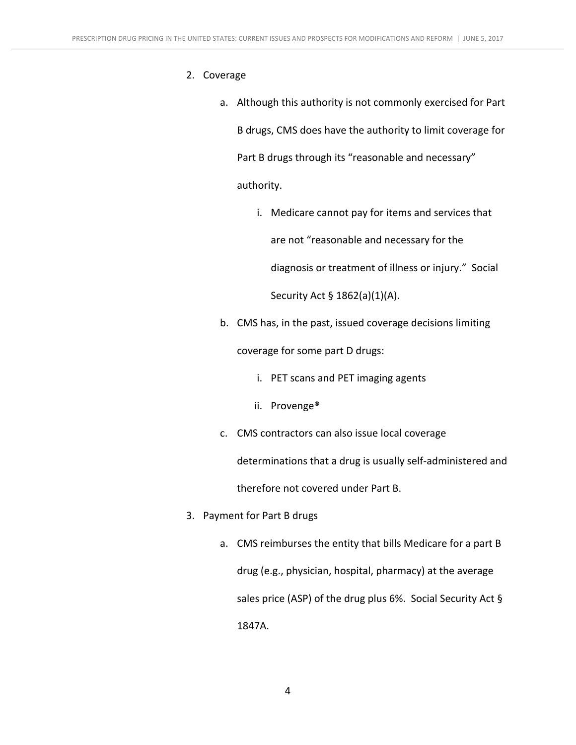- 2. Coverage
	- a. Although this authority is not commonly exercised for Part B drugs, CMS does have the authority to limit coverage for Part B drugs through its "reasonable and necessary" authority.
		- i. Medicare cannot pay for items and services that are not "reasonable and necessary for the diagnosis or treatment of illness or injury." Social Security Act § 1862(a)(1)(A).
	- b. CMS has, in the past, issued coverage decisions limiting

coverage for some part D drugs:

- i. PET scans and PET imaging agents
- ii. Provenge®
- c. CMS contractors can also issue local coverage

determinations that a drug is usually self-administered and

therefore not covered under Part B.

- 3. Payment for Part B drugs
	- a. CMS reimburses the entity that bills Medicare for a part B drug (e.g., physician, hospital, pharmacy) at the average sales price (ASP) of the drug plus  $6\%$ . Social Security Act § 1847A.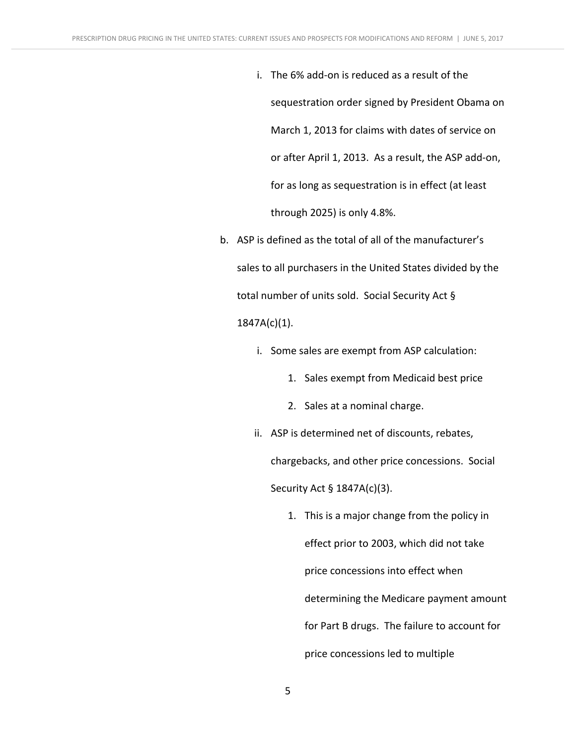- i. The 6% add-on is reduced as a result of the sequestration order signed by President Obama on March 1, 2013 for claims with dates of service on or after April 1, 2013. As a result, the ASP add-on, for as long as sequestration is in effect (at least through  $2025$ ) is only  $4.8\%$ .
- b. ASP is defined as the total of all of the manufacturer's sales to all purchasers in the United States divided by the total number of units sold. Social Security Act § 1847A(c)(1).
	- i. Some sales are exempt from ASP calculation:
		- 1. Sales exempt from Medicaid best price
		- 2. Sales at a nominal charge.
	- ii. ASP is determined net of discounts, rebates, chargebacks, and other price concessions. Social Security Act § 1847A(c)(3).
		- 1. This is a major change from the policy in effect prior to 2003, which did not take price concessions into effect when determining the Medicare payment amount for Part B drugs. The failure to account for price concessions led to multiple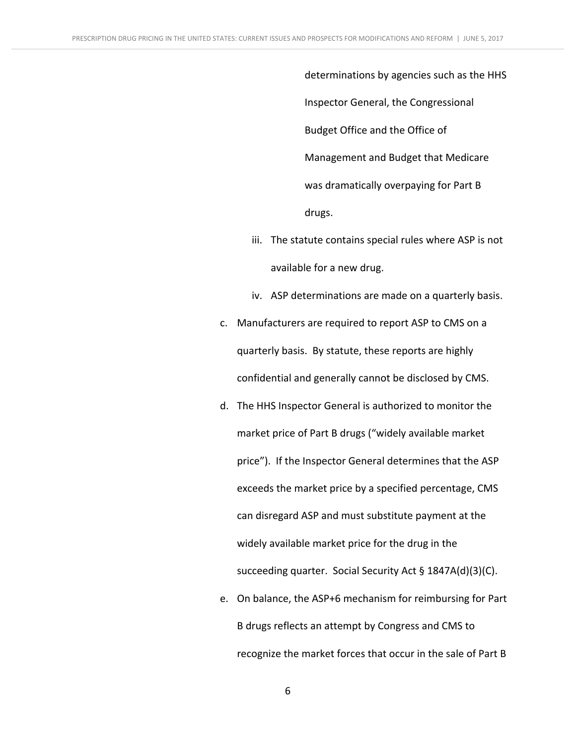determinations by agencies such as the HHS Inspector General, the Congressional Budget Office and the Office of Management and Budget that Medicare was dramatically overpaying for Part B drugs.

- iii. The statute contains special rules where ASP is not available for a new drug.
- iv. ASP determinations are made on a quarterly basis.
- c. Manufacturers are required to report ASP to CMS on a quarterly basis. By statute, these reports are highly confidential and generally cannot be disclosed by CMS.
- d. The HHS Inspector General is authorized to monitor the market price of Part B drugs ("widely available market price"). If the Inspector General determines that the ASP exceeds the market price by a specified percentage, CMS can disregard ASP and must substitute payment at the widely available market price for the drug in the succeeding quarter. Social Security Act § 1847A(d)(3)(C).
- e. On balance, the ASP+6 mechanism for reimbursing for Part B drugs reflects an attempt by Congress and CMS to recognize the market forces that occur in the sale of Part B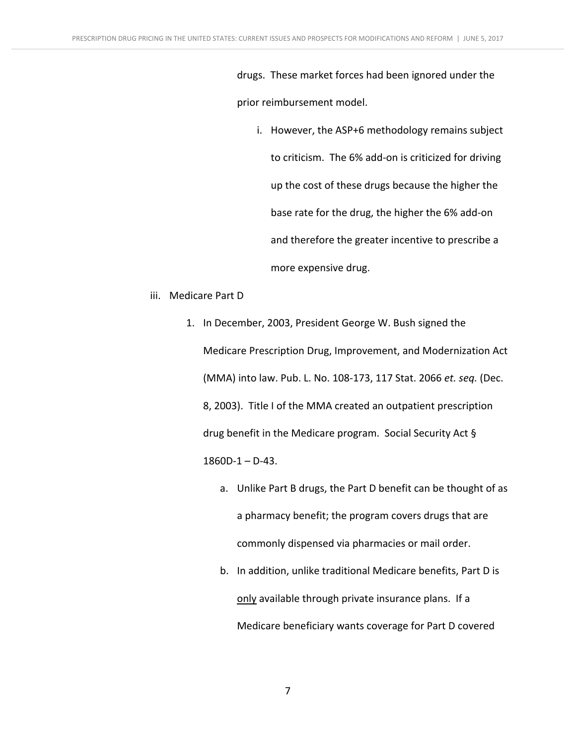drugs. These market forces had been ignored under the prior reimbursement model.

- i. However, the ASP+6 methodology remains subject to criticism. The 6% add-on is criticized for driving up the cost of these drugs because the higher the base rate for the drug, the higher the 6% add-on and therefore the greater incentive to prescribe a more expensive drug.
- iii. Medicare Part D
	- 1. In December, 2003, President George W. Bush signed the Medicare Prescription Drug, Improvement, and Modernization Act (MMA) into law. Pub. L. No. 108-173, 117 Stat. 2066 et. seq. (Dec. 8, 2003). Title I of the MMA created an outpatient prescription drug benefit in the Medicare program. Social Security Act  $\S$  $1860D-1 - D-43.$ 
		- a. Unlike Part B drugs, the Part D benefit can be thought of as a pharmacy benefit; the program covers drugs that are commonly dispensed via pharmacies or mail order.
		- b. In addition, unlike traditional Medicare benefits, Part D is only available through private insurance plans. If a Medicare beneficiary wants coverage for Part D covered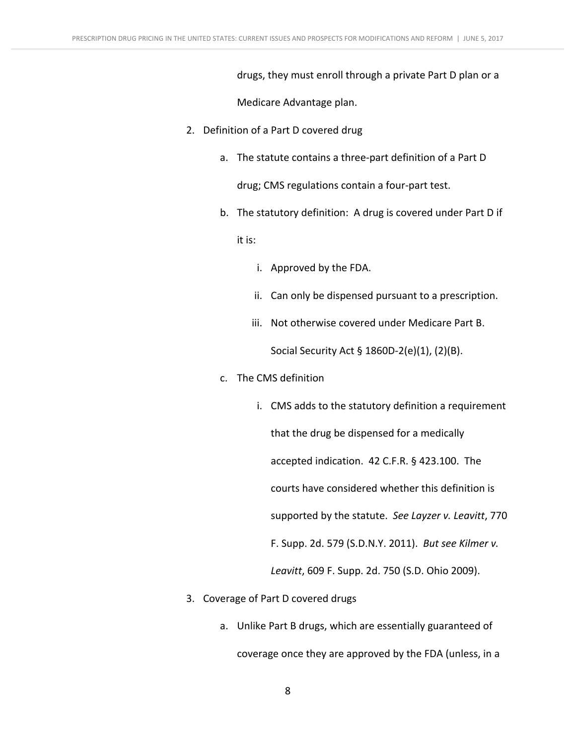drugs, they must enroll through a private Part D plan or a

Medicare Advantage plan.

- 2. Definition of a Part D covered drug
	- a. The statute contains a three-part definition of a Part D drug; CMS regulations contain a four-part test.
	- b. The statutory definition: A drug is covered under Part D if

it is:

- i. Approved by the FDA.
- ii. Can only be dispensed pursuant to a prescription.
- iii. Not otherwise covered under Medicare Part B. Social Security Act  $\S$  1860D-2(e)(1), (2)(B).
- c. The CMS definition
	- i. CMS adds to the statutory definition a requirement that the drug be dispensed for a medically accepted indication. 42 C.F.R. § 423.100. The courts have considered whether this definition is supported by the statute. See Layzer v. Leavitt, 770 F. Supp. 2d. 579 (S.D.N.Y. 2011). *But see Kilmer v. Leavitt*, 609 F. Supp. 2d. 750 (S.D. Ohio 2009).
- 3. Coverage of Part D covered drugs
	- a. Unlike Part B drugs, which are essentially guaranteed of

coverage once they are approved by the FDA (unless, in a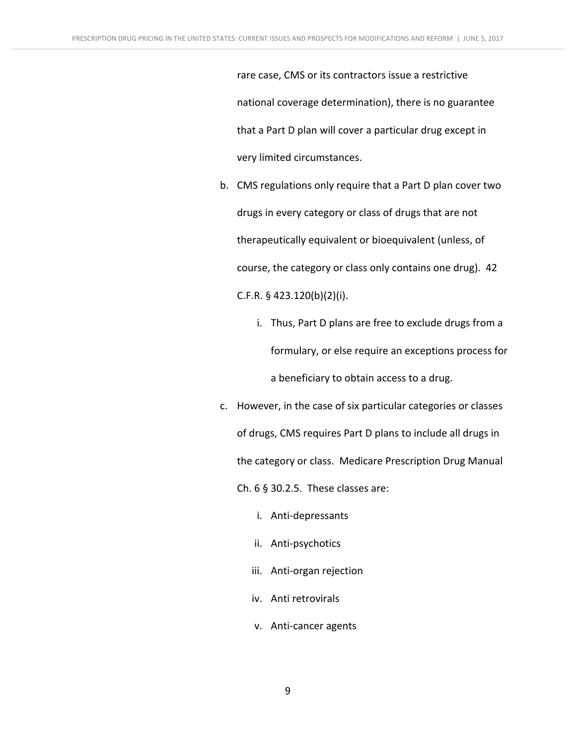rare case, CMS or its contractors issue a restrictive national coverage determination), there is no guarantee that a Part D plan will cover a particular drug except in very limited circumstances.

- b. CMS regulations only require that a Part D plan cover two drugs in every category or class of drugs that are not therapeutically equivalent or bioequivalent (unless, of course, the category or class only contains one drug). 42 C.F.R. § 423.120(b)(2)(i).
	- i. Thus, Part D plans are free to exclude drugs from a formulary, or else require an exceptions process for a beneficiary to obtain access to a drug.
- c. However, in the case of six particular categories or classes of drugs, CMS requires Part D plans to include all drugs in the category or class. Medicare Prescription Drug Manual Ch.  $6$   $§$  30.2.5. These classes are:
	- i. Anti-depressants
	- ii. Anti-psychotics
	- iii. Anti-organ rejection
	- iv. Anti retrovirals
	- v. Anti-cancer agents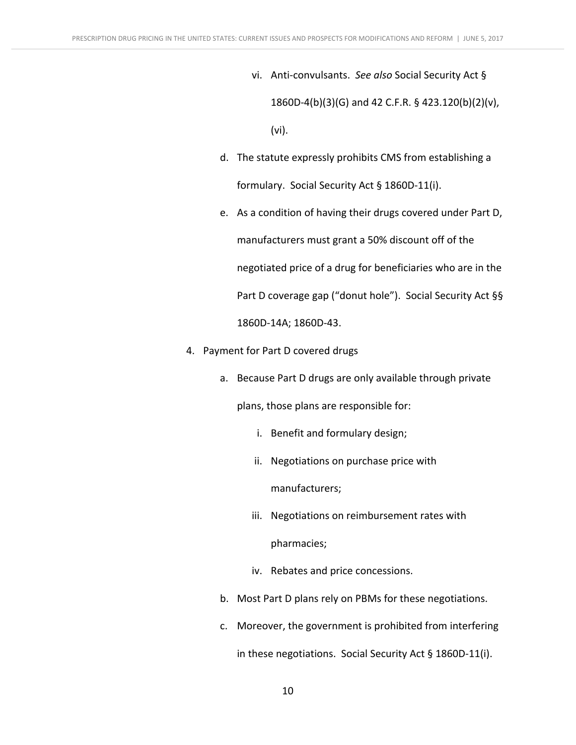- vi. Anti-convulsants. See also Social Security Act § 1860D-4(b)(3)(G) and 42 C.F.R. § 423.120(b)(2)(v), (vi).
- d. The statute expressly prohibits CMS from establishing a formulary. Social Security Act § 1860D-11(i).
- e. As a condition of having their drugs covered under Part D, manufacturers must grant a 50% discount off of the negotiated price of a drug for beneficiaries who are in the Part D coverage gap ("donut hole"). Social Security Act §§ 1860D-14A; 1860D-43.
- 4. Payment for Part D covered drugs
	- a. Because Part D drugs are only available through private

plans, those plans are responsible for:

- i. Benefit and formulary design;
- ii. Negotiations on purchase price with

manufacturers;

- iii. Negotiations on reimbursement rates with pharmacies;
- iv. Rebates and price concessions.
- b. Most Part D plans rely on PBMs for these negotiations.
- c. Moreover, the government is prohibited from interfering

in these negotiations. Social Security Act  $\S$  1860D-11(i).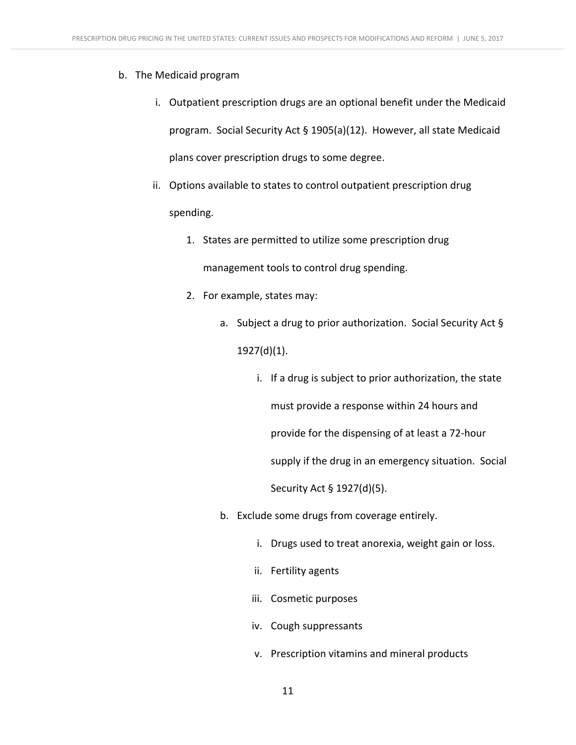## b. The Medicaid program

- i. Outpatient prescription drugs are an optional benefit under the Medicaid program. Social Security Act § 1905(a)(12). However, all state Medicaid plans cover prescription drugs to some degree.
- ii. Options available to states to control outpatient prescription drug spending.
	- 1. States are permitted to utilize some prescription drug management tools to control drug spending.
	- 2. For example, states may:
		- a. Subject a drug to prior authorization. Social Security Act  $\S$ 1927(d)(1).
			- i. If a drug is subject to prior authorization, the state must provide a response within 24 hours and provide for the dispensing of at least a 72-hour supply if the drug in an emergency situation. Social Security Act § 1927(d)(5).
		- b. Exclude some drugs from coverage entirely.
			- i. Drugs used to treat anorexia, weight gain or loss.
			- ii. Fertility agents
			- iii. Cosmetic purposes
			- iv. Cough suppressants
			- v. Prescription vitamins and mineral products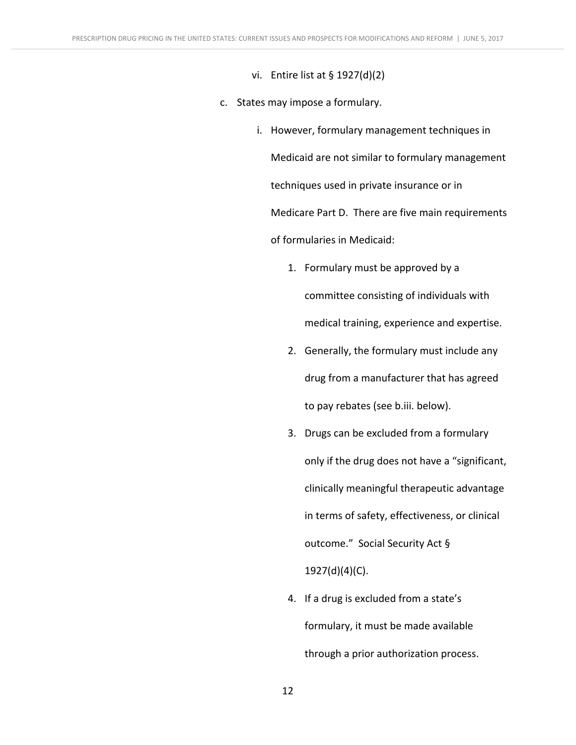- vi. Entire list at  $\S$  1927(d)(2)
- c. States may impose a formulary.
	- i. However, formulary management techniques in Medicaid are not similar to formulary management techniques used in private insurance or in Medicare Part D. There are five main requirements of formularies in Medicaid:
		- 1. Formulary must be approved by a committee consisting of individuals with medical training, experience and expertise.
		- 2. Generally, the formulary must include any drug from a manufacturer that has agreed to pay rebates (see b.iii. below).
		- 3. Drugs can be excluded from a formulary only if the drug does not have a "significant, clinically meaningful therapeutic advantage in terms of safety, effectiveness, or clinical outcome." Social Security Act § 1927(d)(4)(C).
		- 4. If a drug is excluded from a state's formulary, it must be made available through a prior authorization process.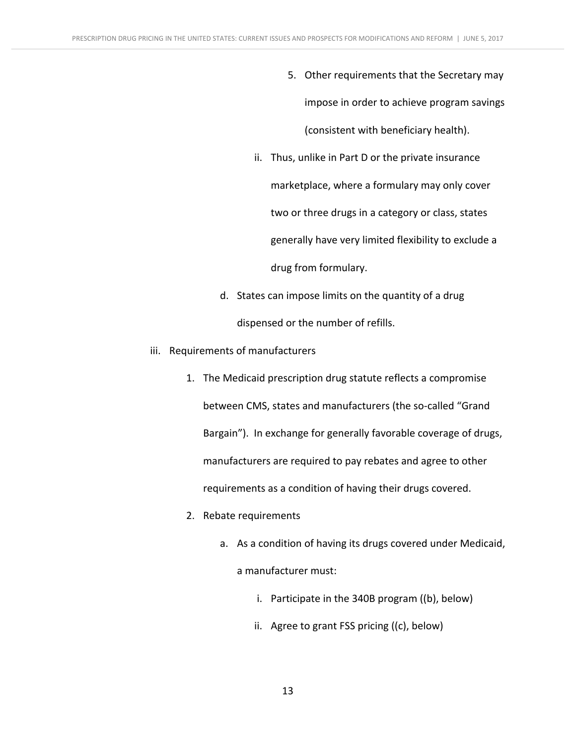- 5. Other requirements that the Secretary may impose in order to achieve program savings (consistent with beneficiary health).
- ii. Thus, unlike in Part D or the private insurance marketplace, where a formulary may only cover two or three drugs in a category or class, states generally have very limited flexibility to exclude a drug from formulary.
- d. States can impose limits on the quantity of a drug dispensed or the number of refills.
- iii. Requirements of manufacturers
	- 1. The Medicaid prescription drug statute reflects a compromise between CMS, states and manufacturers (the so-called "Grand Bargain"). In exchange for generally favorable coverage of drugs, manufacturers are required to pay rebates and agree to other requirements as a condition of having their drugs covered.
	- 2. Rebate requirements
		- a. As a condition of having its drugs covered under Medicaid, a manufacturer must:
			- i. Participate in the  $340B$  program ((b), below)
			- ii. Agree to grant  $FSS$  pricing  $((c),$  below)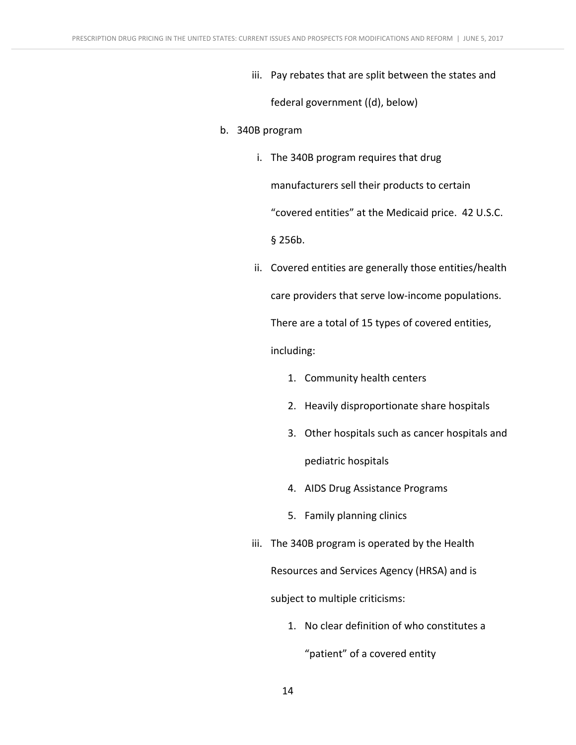iii. Pay rebates that are split between the states and

federal government ((d), below)

- b. 340B program
	- i. The 340B program requires that drug manufacturers sell their products to certain "covered entities" at the Medicaid price. 42 U.S.C.  $§$  256 $b$ .
	- ii. Covered entities are generally those entities/health care providers that serve low-income populations. There are a total of 15 types of covered entities, including:
		- 1. Community health centers
		- 2. Heavily disproportionate share hospitals
		- 3. Other hospitals such as cancer hospitals and pediatric hospitals
		- 4. AIDS Drug Assistance Programs
		- 5. Family planning clinics
	- iii. The 340B program is operated by the Health Resources and Services Agency (HRSA) and is subject to multiple criticisms:
		- 1. No clear definition of who constitutes a

"patient" of a covered entity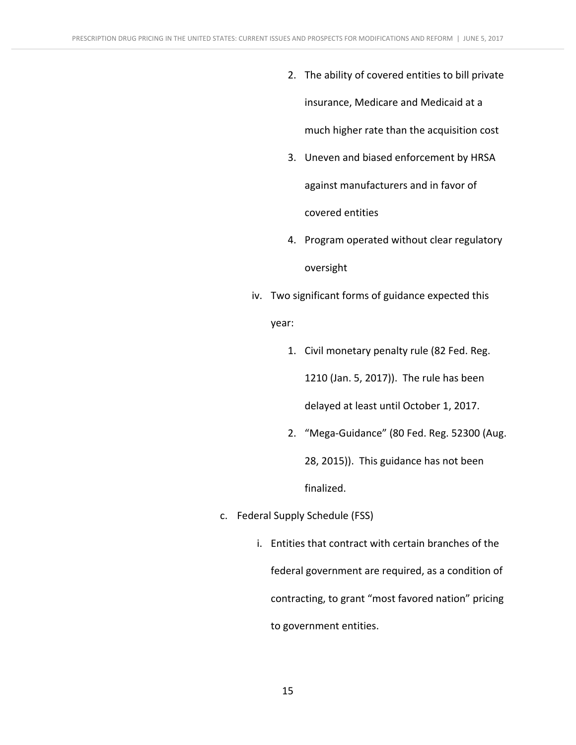- 2. The ability of covered entities to bill private insurance, Medicare and Medicaid at a much higher rate than the acquisition cost
- 3. Uneven and biased enforcement by HRSA against manufacturers and in favor of covered entities
- 4. Program operated without clear regulatory oversight
- iv. Two significant forms of guidance expected this

year:

- 1. Civil monetary penalty rule (82 Fed. Reg. 1210 (Jan. 5, 2017)). The rule has been delayed at least until October 1, 2017.
- 2. "Mega-Guidance" (80 Fed. Reg. 52300 (Aug. 28, 2015)). This guidance has not been finalized.
- c. Federal Supply Schedule (FSS)
	- i. Entities that contract with certain branches of the federal government are required, as a condition of contracting, to grant "most favored nation" pricing to government entities.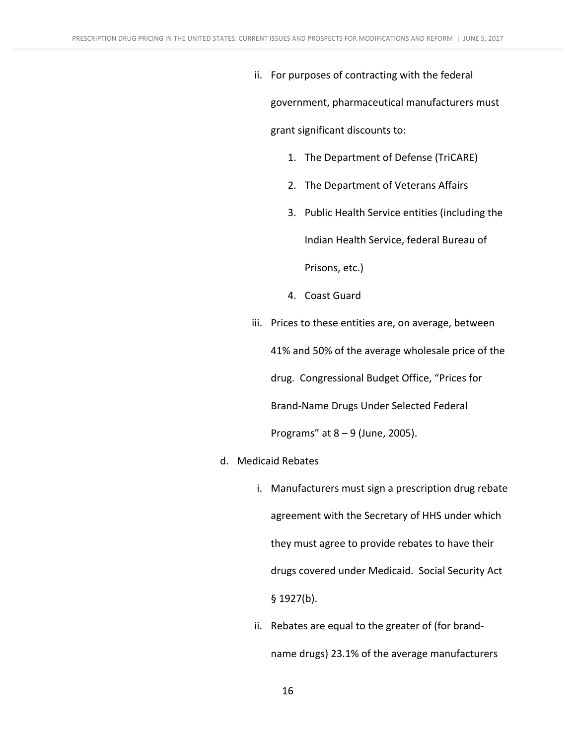ii. For purposes of contracting with the federal

government, pharmaceutical manufacturers must grant significant discounts to:

- 1. The Department of Defense (TriCARE)
- 2. The Department of Veterans Affairs
- 3. Public Health Service entities (including the

Indian Health Service, federal Bureau of 

Prisons, etc.)

- 4. Coast Guard
- iii. Prices to these entities are, on average, between 41% and 50% of the average wholesale price of the drug. Congressional Budget Office, "Prices for Brand-Name Drugs Under Selected Federal Programs" at  $8 - 9$  (June, 2005).
- d. Medicaid Rebates
	- i. Manufacturers must sign a prescription drug rebate agreement with the Secretary of HHS under which they must agree to provide rebates to have their drugs covered under Medicaid. Social Security Act § 1927(b).
	- ii. Rebates are equal to the greater of (for brandname drugs) 23.1% of the average manufacturers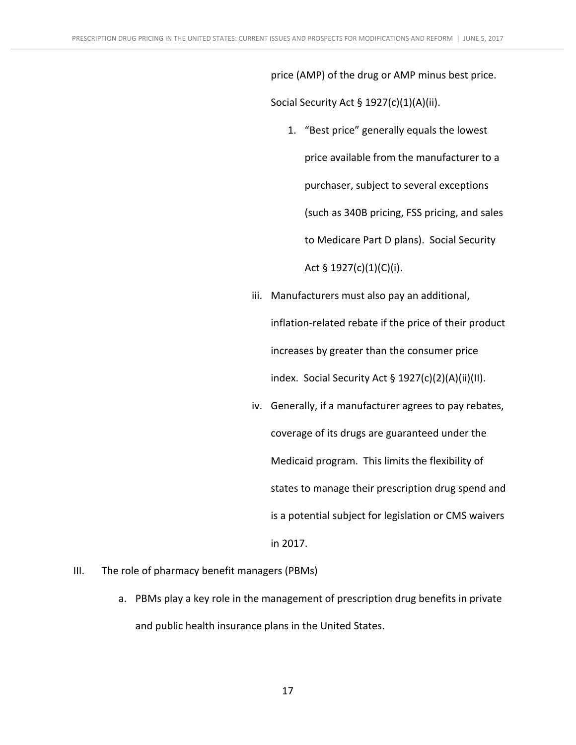price (AMP) of the drug or AMP minus best price. Social Security Act  $\S$  1927(c)(1)(A)(ii).

- 1. "Best price" generally equals the lowest price available from the manufacturer to a purchaser, subject to several exceptions (such as 340B pricing, FSS pricing, and sales to Medicare Part D plans). Social Security Act § 1927(c)(1)(C)(i).
- iii. Manufacturers must also pay an additional, inflation-related rebate if the price of their product increases by greater than the consumer price index. Social Security Act §  $1927(c)(2)(A)(ii)(II)$ .
- iv. Generally, if a manufacturer agrees to pay rebates, coverage of its drugs are guaranteed under the Medicaid program. This limits the flexibility of states to manage their prescription drug spend and is a potential subject for legislation or CMS waivers in 2017.
- III. The role of pharmacy benefit managers (PBMs)
	- a. PBMs play a key role in the management of prescription drug benefits in private and public health insurance plans in the United States.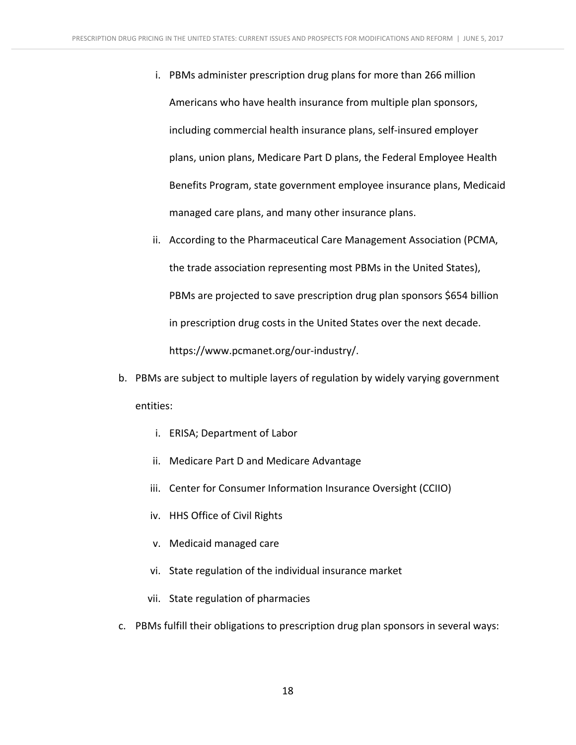- i. PBMs administer prescription drug plans for more than 266 million Americans who have health insurance from multiple plan sponsors, including commercial health insurance plans, self-insured employer plans, union plans, Medicare Part D plans, the Federal Employee Health Benefits Program, state government employee insurance plans, Medicaid managed care plans, and many other insurance plans.
- ii. According to the Pharmaceutical Care Management Association (PCMA, the trade association representing most PBMs in the United States), PBMs are projected to save prescription drug plan sponsors \$654 billion in prescription drug costs in the United States over the next decade. https://www.pcmanet.org/our-industry/.
- b. PBMs are subject to multiple layers of regulation by widely varying government entities:
	- i. ERISA; Department of Labor
	- ii. Medicare Part D and Medicare Advantage
	- iii. Center for Consumer Information Insurance Oversight (CCIIO)
	- iv. HHS Office of Civil Rights
	- v. Medicaid managed care
	- vi. State regulation of the individual insurance market
	- vii. State regulation of pharmacies
- c. PBMs fulfill their obligations to prescription drug plan sponsors in several ways: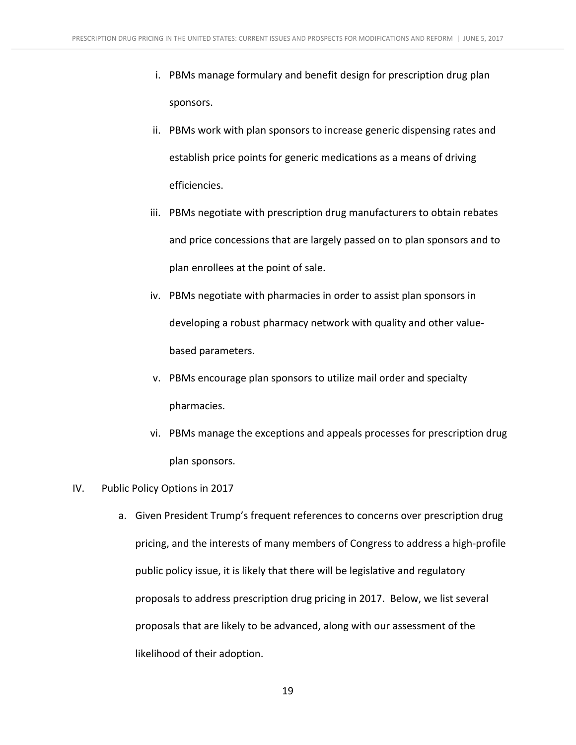- i. PBMs manage formulary and benefit design for prescription drug plan sponsors.
- ii. PBMs work with plan sponsors to increase generic dispensing rates and establish price points for generic medications as a means of driving efficiencies.
- iii. PBMs negotiate with prescription drug manufacturers to obtain rebates and price concessions that are largely passed on to plan sponsors and to plan enrollees at the point of sale.
- iv. PBMs negotiate with pharmacies in order to assist plan sponsors in developing a robust pharmacy network with quality and other valuebased parameters.
- v. PBMs encourage plan sponsors to utilize mail order and specialty pharmacies.
- vi. PBMs manage the exceptions and appeals processes for prescription drug plan sponsors.

#### IV. Public Policy Options in 2017

a. Given President Trump's frequent references to concerns over prescription drug pricing, and the interests of many members of Congress to address a high-profile public policy issue, it is likely that there will be legislative and regulatory proposals to address prescription drug pricing in 2017. Below, we list several proposals that are likely to be advanced, along with our assessment of the likelihood of their adoption.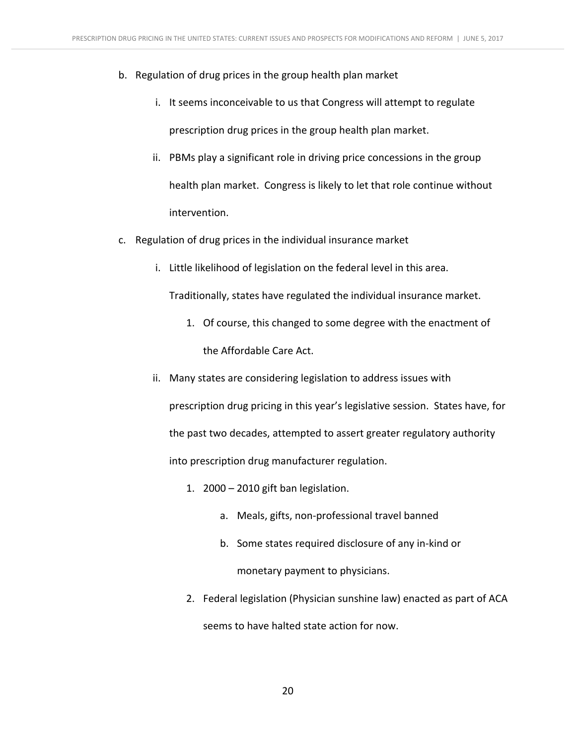- b. Regulation of drug prices in the group health plan market
	- i. It seems inconceivable to us that Congress will attempt to regulate prescription drug prices in the group health plan market.
	- ii. PBMs play a significant role in driving price concessions in the group health plan market. Congress is likely to let that role continue without intervention.
- c. Regulation of drug prices in the individual insurance market
	- i. Little likelihood of legislation on the federal level in this area.

Traditionally, states have regulated the individual insurance market.

- 1. Of course, this changed to some degree with the enactment of the Affordable Care Act.
- ii. Many states are considering legislation to address issues with prescription drug pricing in this year's legislative session. States have, for the past two decades, attempted to assert greater regulatory authority into prescription drug manufacturer regulation.
	- 1.  $2000 2010$  gift ban legislation.
		- a. Meals, gifts, non-professional travel banned
		- b. Some states required disclosure of any in-kind or monetary payment to physicians.
	- 2. Federal legislation (Physician sunshine law) enacted as part of ACA seems to have halted state action for now.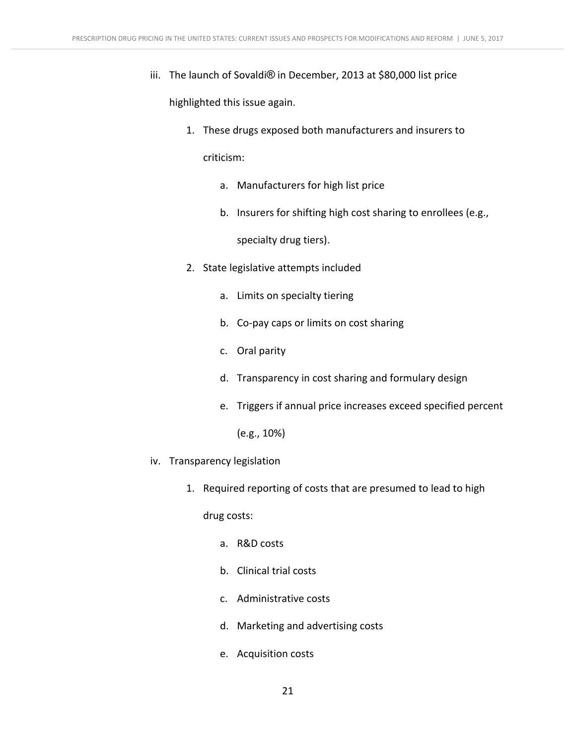iii. The launch of Sovaldi<sup>®</sup> in December, 2013 at \$80,000 list price

highlighted this issue again.

1. These drugs exposed both manufacturers and insurers to

criticism:

- a. Manufacturers for high list price
- b. Insurers for shifting high cost sharing to enrollees (e.g.,

specialty drug tiers).

- 2. State legislative attempts included
	- a. Limits on specialty tiering
	- b. Co-pay caps or limits on cost sharing
	- c. Oral parity
	- d. Transparency in cost sharing and formulary design
	- e. Triggers if annual price increases exceed specified percent

 $(e.g., 10%)$ 

- iv. Transparency legislation
	- 1. Required reporting of costs that are presumed to lead to high

drug costs:

- a. R&D costs
- b. Clinical trial costs
- c. Administrative costs
- d. Marketing and advertising costs
- e. Acquisition costs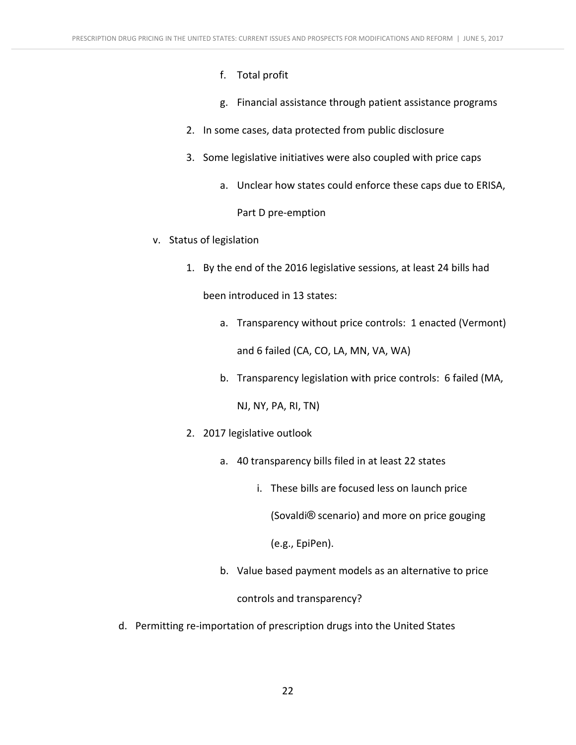- f. Total profit
- g. Financial assistance through patient assistance programs
- 2. In some cases, data protected from public disclosure
- 3. Some legislative initiatives were also coupled with price caps
	- a. Unclear how states could enforce these caps due to ERISA,

Part D pre-emption

- v. Status of legislation
	- 1. By the end of the 2016 legislative sessions, at least 24 bills had

been introduced in 13 states:

- a. Transparency without price controls: 1 enacted (Vermont) and 6 failed (CA, CO, LA, MN, VA, WA)
- b. Transparency legislation with price controls: 6 failed (MA,

NJ, NY, PA, RI, TN)

- 2. 2017 legislative outlook
	- a. 40 transparency bills filed in at least 22 states
		- i. These bills are focused less on launch price

(Sovaldi<sup>®</sup> scenario) and more on price gouging

(e.g., EpiPen).

b. Value based payment models as an alternative to price

controls and transparency?

d. Permitting re-importation of prescription drugs into the United States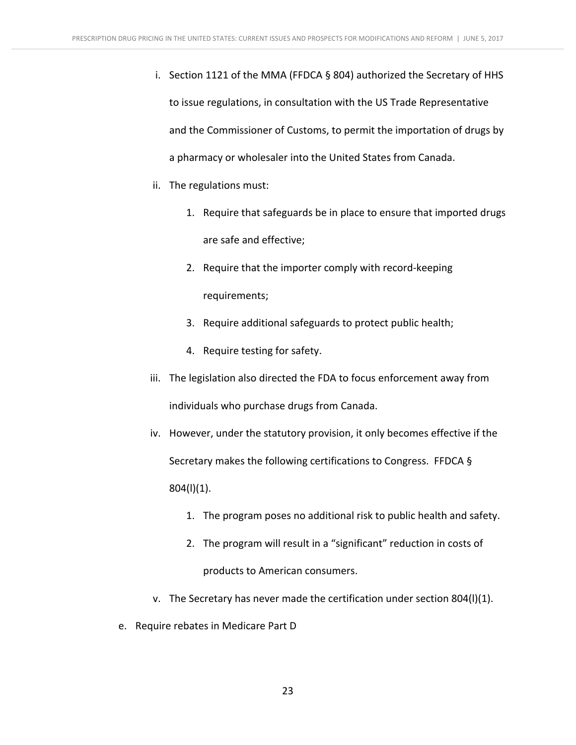- i. Section 1121 of the MMA (FFDCA  $\S$  804) authorized the Secretary of HHS to issue regulations, in consultation with the US Trade Representative and the Commissioner of Customs, to permit the importation of drugs by a pharmacy or wholesaler into the United States from Canada.
- ii. The regulations must:
	- 1. Require that safeguards be in place to ensure that imported drugs are safe and effective;
	- 2. Require that the importer comply with record-keeping requirements;
	- 3. Require additional safeguards to protect public health;
	- 4. Require testing for safety.
- iii. The legislation also directed the FDA to focus enforcement away from individuals who purchase drugs from Canada.
- iv. However, under the statutory provision, it only becomes effective if the Secretary makes the following certifications to Congress. FFDCA  $\S$ 804(l)(1).
	- 1. The program poses no additional risk to public health and safety.
	- 2. The program will result in a "significant" reduction in costs of products to American consumers.
- v. The Secretary has never made the certification under section  $804(1)(1)$ .
- e. Require rebates in Medicare Part D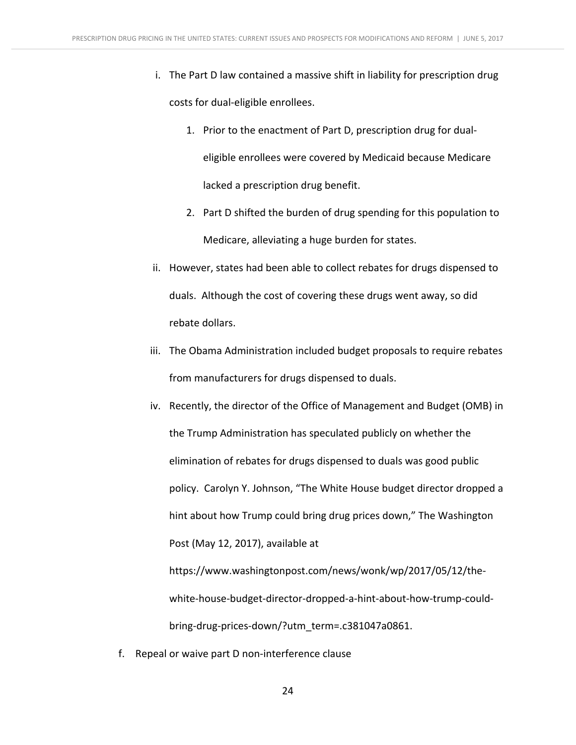- i. The Part D law contained a massive shift in liability for prescription drug costs for dual-eligible enrollees.
	- 1. Prior to the enactment of Part D, prescription drug for dualeligible enrollees were covered by Medicaid because Medicare lacked a prescription drug benefit.
	- 2. Part D shifted the burden of drug spending for this population to Medicare, alleviating a huge burden for states.
- ii. However, states had been able to collect rebates for drugs dispensed to duals. Although the cost of covering these drugs went away, so did rebate dollars.
- iii. The Obama Administration included budget proposals to require rebates from manufacturers for drugs dispensed to duals.
- iv. Recently, the director of the Office of Management and Budget (OMB) in the Trump Administration has speculated publicly on whether the elimination of rebates for drugs dispensed to duals was good public policy. Carolyn Y. Johnson, "The White House budget director dropped a hint about how Trump could bring drug prices down," The Washington Post (May 12, 2017), available at https://www.washingtonpost.com/news/wonk/wp/2017/05/12/thewhite-house-budget-director-dropped-a-hint-about-how-trump-couldbring-drug-prices-down/?utm\_term=.c381047a0861.
- f. Repeal or waive part D non-interference clause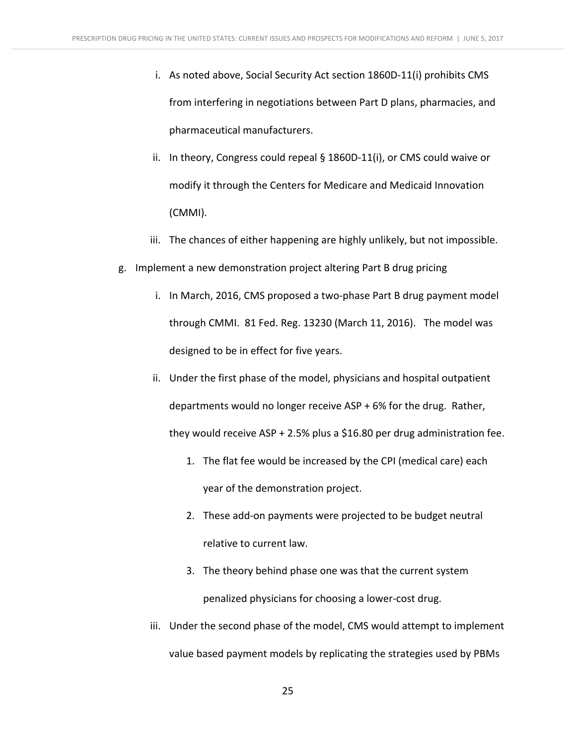- i. As noted above, Social Security Act section  $1860D-11(i)$  prohibits CMS from interfering in negotiations between Part D plans, pharmacies, and pharmaceutical manufacturers.
- ii. In theory, Congress could repeal  $\S$  1860D-11(i), or CMS could waive or modify it through the Centers for Medicare and Medicaid Innovation (CMMI).
- iii. The chances of either happening are highly unlikely, but not impossible.
- g. Implement a new demonstration project altering Part B drug pricing
	- i. In March, 2016, CMS proposed a two-phase Part B drug payment model through CMMI. 81 Fed. Reg. 13230 (March 11, 2016). The model was designed to be in effect for five years.
	- ii. Under the first phase of the model, physicians and hospital outpatient departments would no longer receive  $ASP + 6%$  for the drug. Rather, they would receive ASP + 2.5% plus a \$16.80 per drug administration fee.
		- 1. The flat fee would be increased by the CPI (medical care) each year of the demonstration project.
		- 2. These add-on payments were projected to be budget neutral relative to current law.
		- 3. The theory behind phase one was that the current system penalized physicians for choosing a lower-cost drug.
	- iii. Under the second phase of the model, CMS would attempt to implement value based payment models by replicating the strategies used by PBMs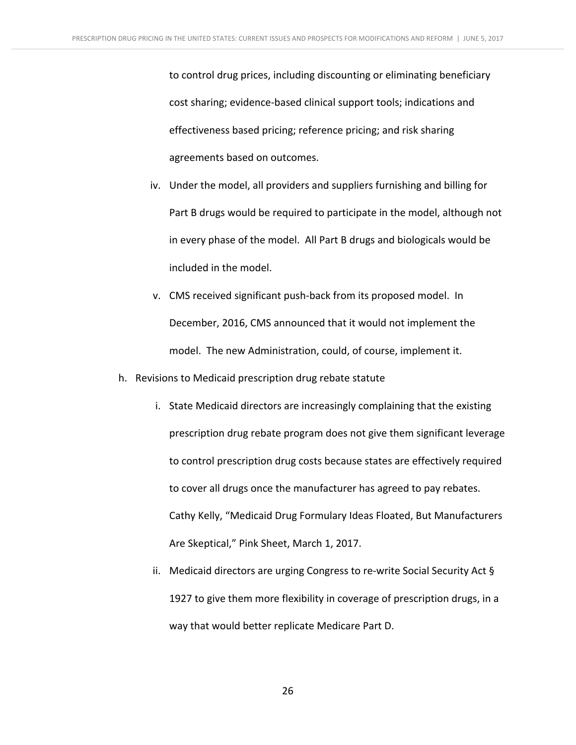to control drug prices, including discounting or eliminating beneficiary cost sharing; evidence-based clinical support tools; indications and effectiveness based pricing; reference pricing; and risk sharing agreements based on outcomes.

- iv. Under the model, all providers and suppliers furnishing and billing for Part B drugs would be required to participate in the model, although not in every phase of the model. All Part B drugs and biologicals would be included in the model.
- v. CMS received significant push-back from its proposed model. In December, 2016, CMS announced that it would not implement the model. The new Administration, could, of course, implement it.
- h. Revisions to Medicaid prescription drug rebate statute
	- i. State Medicaid directors are increasingly complaining that the existing prescription drug rebate program does not give them significant leverage to control prescription drug costs because states are effectively required to cover all drugs once the manufacturer has agreed to pay rebates. Cathy Kelly, "Medicaid Drug Formulary Ideas Floated, But Manufacturers Are Skeptical," Pink Sheet, March 1, 2017.
	- ii. Medicaid directors are urging Congress to re-write Social Security Act  $\S$ 1927 to give them more flexibility in coverage of prescription drugs, in a way that would better replicate Medicare Part D.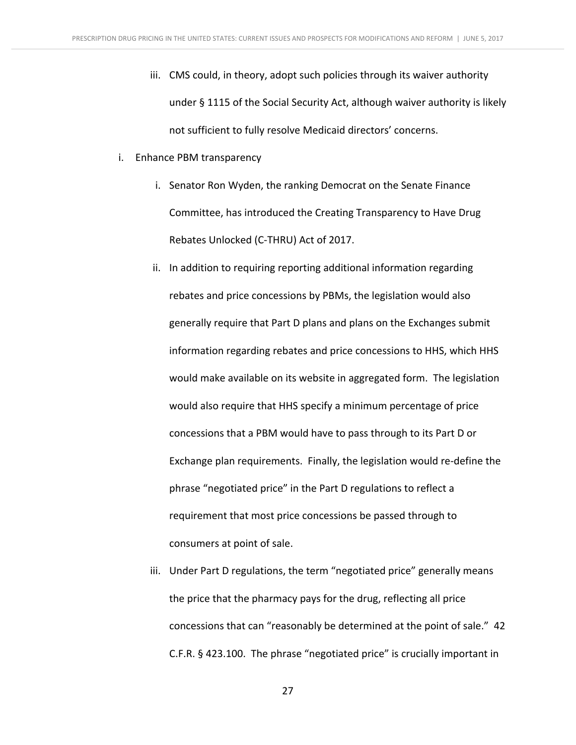- iii. CMS could, in theory, adopt such policies through its waiver authority under § 1115 of the Social Security Act, although waiver authority is likely not sufficient to fully resolve Medicaid directors' concerns.
- i. Enhance PBM transparency
	- i. Senator Ron Wyden, the ranking Democrat on the Senate Finance Committee, has introduced the Creating Transparency to Have Drug Rebates Unlocked (C-THRU) Act of 2017.
	- ii. In addition to requiring reporting additional information regarding rebates and price concessions by PBMs, the legislation would also generally require that Part D plans and plans on the Exchanges submit information regarding rebates and price concessions to HHS, which HHS would make available on its website in aggregated form. The legislation would also require that HHS specify a minimum percentage of price concessions that a PBM would have to pass through to its Part D or Exchange plan requirements. Finally, the legislation would re-define the phrase "negotiated price" in the Part D regulations to reflect a requirement that most price concessions be passed through to consumers at point of sale.
	- iii. Under Part D regulations, the term "negotiated price" generally means the price that the pharmacy pays for the drug, reflecting all price concessions that can "reasonably be determined at the point of sale." 42 C.F.R. § 423.100. The phrase "negotiated price" is crucially important in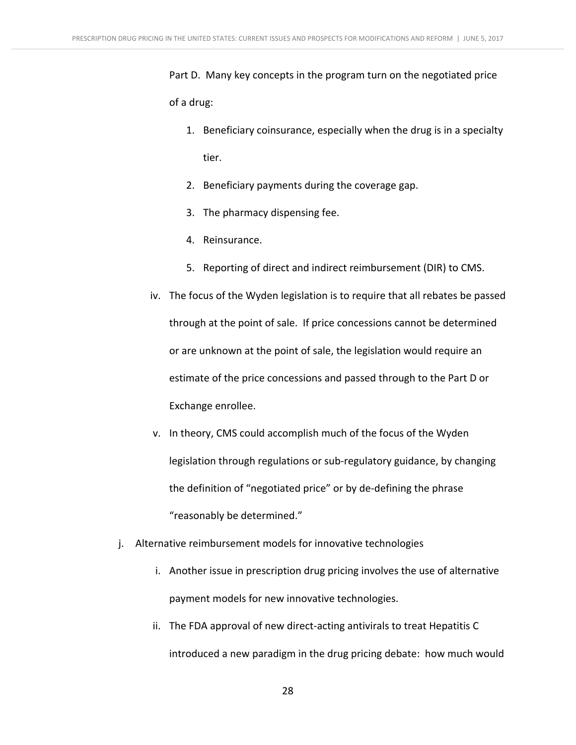Part D. Many key concepts in the program turn on the negotiated price of a drug:

- 1. Beneficiary coinsurance, especially when the drug is in a specialty tier.
- 2. Beneficiary payments during the coverage gap.
- 3. The pharmacy dispensing fee.
- 4. Reinsurance.
- 5. Reporting of direct and indirect reimbursement (DIR) to CMS.
- iv. The focus of the Wyden legislation is to require that all rebates be passed through at the point of sale. If price concessions cannot be determined or are unknown at the point of sale, the legislation would require an estimate of the price concessions and passed through to the Part D or Exchange enrollee.
- v. In theory, CMS could accomplish much of the focus of the Wyden legislation through regulations or sub-regulatory guidance, by changing the definition of "negotiated price" or by de-defining the phrase "reasonably be determined."
- j. Alternative reimbursement models for innovative technologies
	- i. Another issue in prescription drug pricing involves the use of alternative payment models for new innovative technologies.
	- ii. The FDA approval of new direct-acting antivirals to treat Hepatitis C introduced a new paradigm in the drug pricing debate: how much would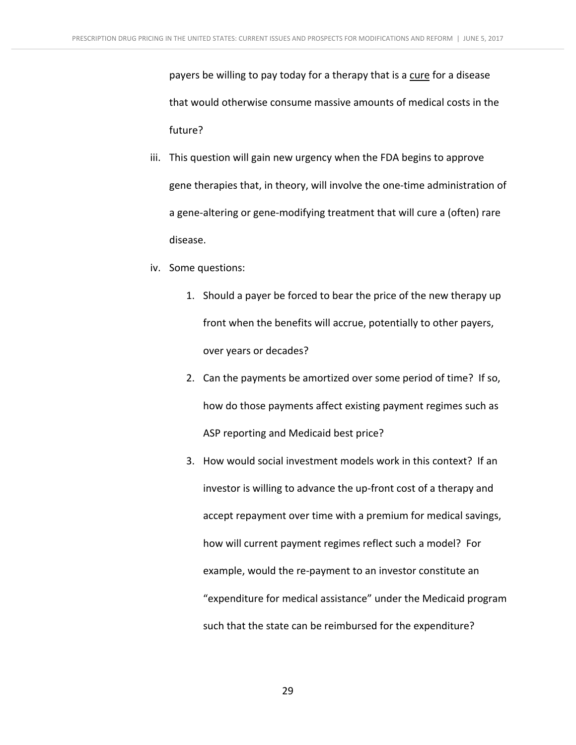payers be willing to pay today for a therapy that is a cure for a disease that would otherwise consume massive amounts of medical costs in the future?

- iii. This question will gain new urgency when the FDA begins to approve gene therapies that, in theory, will involve the one-time administration of a gene-altering or gene-modifying treatment that will cure a (often) rare disease.
- iv. Some questions:
	- 1. Should a payer be forced to bear the price of the new therapy up front when the benefits will accrue, potentially to other payers, over years or decades?
	- 2. Can the payments be amortized over some period of time? If so, how do those payments affect existing payment regimes such as ASP reporting and Medicaid best price?
	- 3. How would social investment models work in this context? If an investor is willing to advance the up-front cost of a therapy and accept repayment over time with a premium for medical savings, how will current payment regimes reflect such a model? For example, would the re-payment to an investor constitute an "expenditure for medical assistance" under the Medicaid program such that the state can be reimbursed for the expenditure?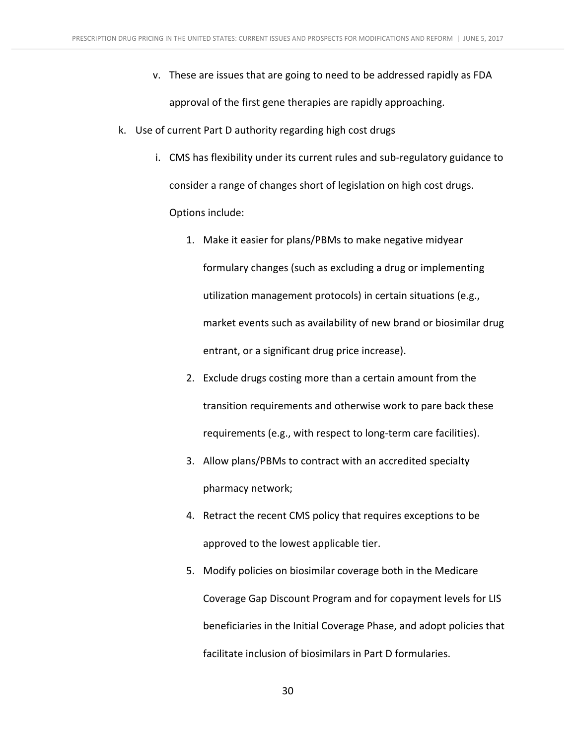- v. These are issues that are going to need to be addressed rapidly as FDA approval of the first gene therapies are rapidly approaching.
- k. Use of current Part D authority regarding high cost drugs
	- i. CMS has flexibility under its current rules and sub-regulatory guidance to consider a range of changes short of legislation on high cost drugs. Options include:
		- 1. Make it easier for plans/PBMs to make negative midyear formulary changes (such as excluding a drug or implementing utilization management protocols) in certain situations (e.g., market events such as availability of new brand or biosimilar drug entrant, or a significant drug price increase).
		- 2. Exclude drugs costing more than a certain amount from the transition requirements and otherwise work to pare back these requirements (e.g., with respect to long-term care facilities).
		- 3. Allow plans/PBMs to contract with an accredited specialty pharmacy network;
		- 4. Retract the recent CMS policy that requires exceptions to be approved to the lowest applicable tier.
		- 5. Modify policies on biosimilar coverage both in the Medicare Coverage Gap Discount Program and for copayment levels for LIS beneficiaries in the Initial Coverage Phase, and adopt policies that facilitate inclusion of biosimilars in Part D formularies.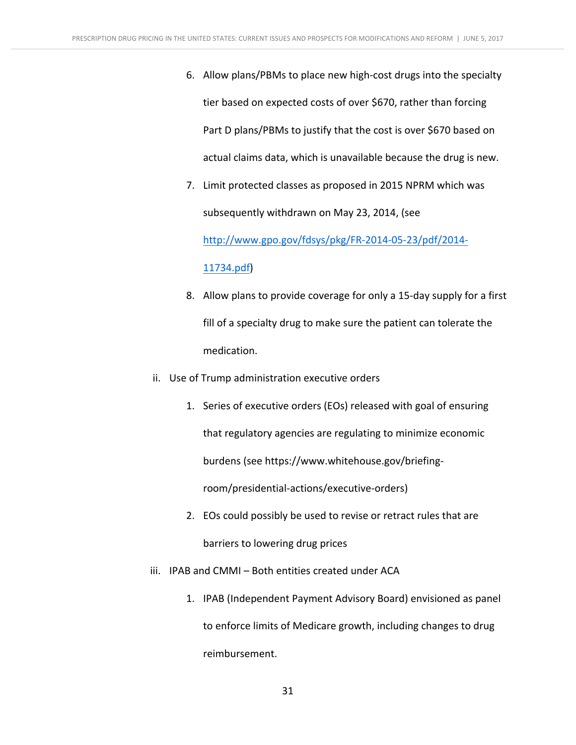- 6. Allow plans/PBMs to place new high-cost drugs into the specialty tier based on expected costs of over \$670, rather than forcing Part D plans/PBMs to justify that the cost is over \$670 based on actual claims data, which is unavailable because the drug is new.
- 7. Limit protected classes as proposed in 2015 NPRM which was subsequently withdrawn on May 23, 2014, (see

http://www.gpo.gov/fdsys/pkg/FR-2014-05-23/pdf/2014-

#### 11734.pdf)

- 8. Allow plans to provide coverage for only a 15-day supply for a first fill of a specialty drug to make sure the patient can tolerate the medication.
- ii. Use of Trump administration executive orders
	- 1. Series of executive orders (EOs) released with goal of ensuring that regulatory agencies are regulating to minimize economic burdens (see https://www.whitehouse.gov/briefingroom/presidential-actions/executive-orders)
	- 2. EOs could possibly be used to revise or retract rules that are barriers to lowering drug prices
- iii. IPAB and CMMI Both entities created under ACA
	- 1. IPAB (Independent Payment Advisory Board) envisioned as panel to enforce limits of Medicare growth, including changes to drug reimbursement.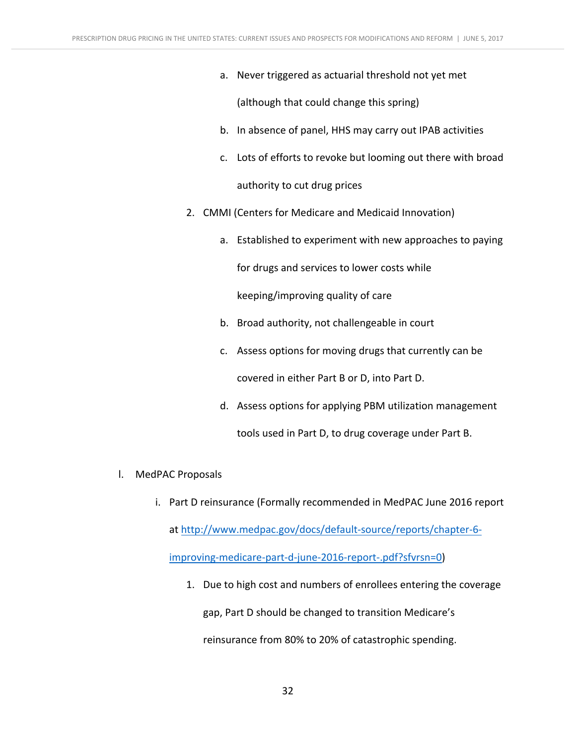a. Never triggered as actuarial threshold not yet met

(although that could change this spring)

- b. In absence of panel, HHS may carry out IPAB activities
- c. Lots of efforts to revoke but looming out there with broad authority to cut drug prices
- 2. CMMI (Centers for Medicare and Medicaid Innovation)
	- a. Established to experiment with new approaches to paying

for drugs and services to lower costs while

keeping/improving quality of care

- b. Broad authority, not challengeable in court
- c. Assess options for moving drugs that currently can be covered in either Part B or D, into Part D.
- d. Assess options for applying PBM utilization management tools used in Part D, to drug coverage under Part B.
- l. MedPAC Proposals
	- i. Part D reinsurance (Formally recommended in MedPAC June 2016 report at http://www.medpac.gov/docs/default-source/reports/chapter-6improving-medicare-part-d-june-2016-report-.pdf?sfvrsn=0)
		- 1. Due to high cost and numbers of enrollees entering the coverage

gap, Part D should be changed to transition Medicare's

reinsurance from 80% to 20% of catastrophic spending.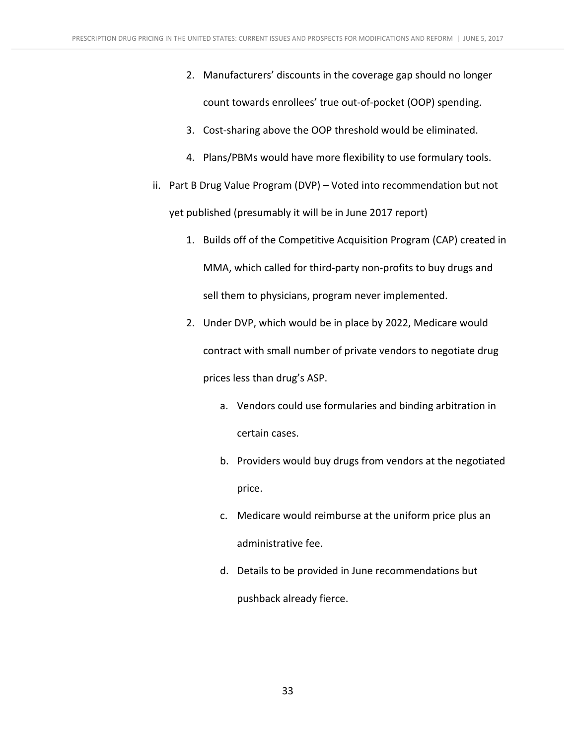- 2. Manufacturers' discounts in the coverage gap should no longer count towards enrollees' true out-of-pocket (OOP) spending.
- 3. Cost-sharing above the OOP threshold would be eliminated.
- 4. Plans/PBMs would have more flexibility to use formulary tools.
- ii. Part B Drug Value Program (DVP) Voted into recommendation but not yet published (presumably it will be in June 2017 report)
	- 1. Builds off of the Competitive Acquisition Program (CAP) created in MMA, which called for third-party non-profits to buy drugs and sell them to physicians, program never implemented.
	- 2. Under DVP, which would be in place by 2022, Medicare would contract with small number of private vendors to negotiate drug prices less than drug's ASP.
		- a. Vendors could use formularies and binding arbitration in certain cases.
		- b. Providers would buy drugs from vendors at the negotiated price.
		- c. Medicare would reimburse at the uniform price plus an administrative fee.
		- d. Details to be provided in June recommendations but pushback already fierce.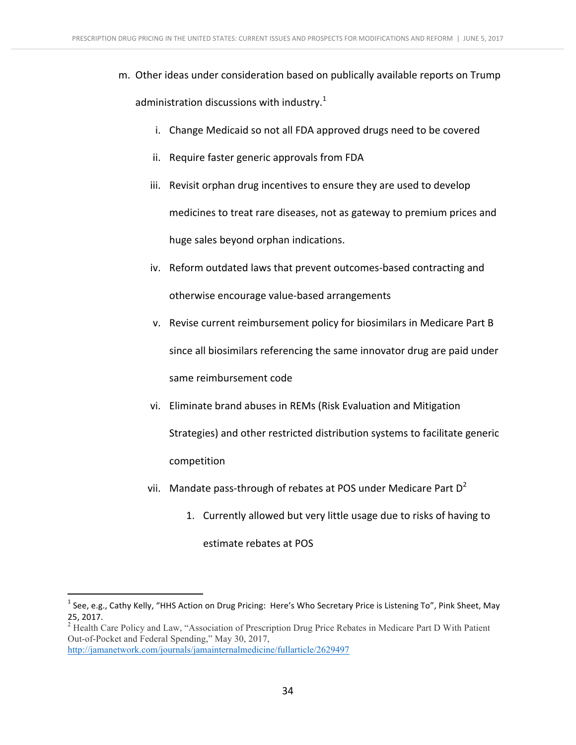- m. Other ideas under consideration based on publically available reports on Trump administration discussions with industry.<sup>1</sup>
	- i. Change Medicaid so not all FDA approved drugs need to be covered
	- ii. Require faster generic approvals from FDA
	- iii. Revisit orphan drug incentives to ensure they are used to develop medicines to treat rare diseases, not as gateway to premium prices and huge sales beyond orphan indications.
	- iv. Reform outdated laws that prevent outcomes-based contracting and otherwise encourage value-based arrangements
	- v. Revise current reimbursement policy for biosimilars in Medicare Part B since all biosimilars referencing the same innovator drug are paid under same reimbursement code
	- vi. Eliminate brand abuses in REMs (Risk Evaluation and Mitigation Strategies) and other restricted distribution systems to facilitate generic competition
	- vii. Mandate pass-through of rebates at POS under Medicare Part  $D^2$ 
		- 1. Currently allowed but very little usage due to risks of having to estimate rebates at POS

Out-of-Pocket and Federal Spending," May 30, 2017,

<sup>&</sup>lt;sup>1</sup> See, e.g., Cathy Kelly, "HHS Action on Drug Pricing: Here's Who Secretary Price is Listening To", Pink Sheet, May 25, 2017.<br><sup>2</sup> Health Care Policy and Law, "Association of Prescription Drug Price Rebates in Medicare Part D With Patient

http://jamanetwork.com/journals/jamainternalmedicine/fullarticle/2629497